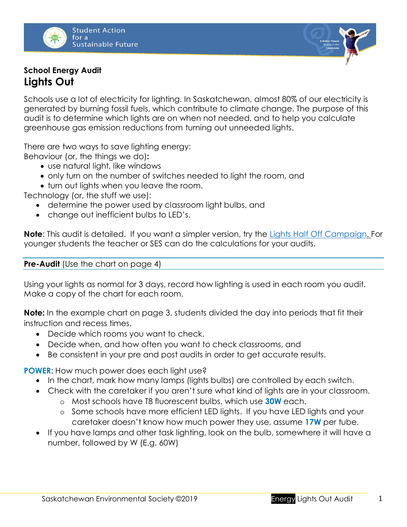

# **School Energy Audit Lights Out**

Schools use a lot of electricity for lighting. In Saskatchewan, almost 80% of our electricity is generated by burning fossil fuels, which contribute to climate change. The purpose of this audit is to determine which lights are on when not needed, and to help you calculate greenhouse gas emission reductions from turning out unneeded lights.

There are two ways to save lighting energy:

Behaviour (or, the things we do)**:**

- use natural light, like windows
- only turn on the number of switches needed to light the room, and
- turn out lights when you leave the room.

Technology (or, the stuff we use):

- determine the power used by classroom light bulbs, and
- change out inefficient bulbs to LED's.

**Note**: This audit is detailed. If you want a simpler version, try the [Lights Half Off Campaign.](http://environmentalsociety.ca/wp-content/uploads/2016/06/Lights-Half-Off-Campaign1.pdf) For younger students the teacher or SES can do the calculations for your audits.

#### **Pre-Audit** (Use the chart on page 4)

Using your lights as normal for 3 days, record how lighting is used in each room you audit. Make a copy of the chart for each room.

**Note:** In the example chart on page 3, students divided the day into periods that fit their instruction and recess times.

- Decide which rooms you want to check,
- Decide when, and how often you want to check classrooms, and
- Be consistent in your pre and post audits in order to get accurate results.

**POWER**: How much power does each light use?

- In the chart, mark how many lamps (lights bulbs) are controlled by each switch.
- Check with the caretaker if you aren't sure what kind of lights are in your classroom.
	- o Most schools have T8 fluorescent bulbs, which use **30W** each.
	- o Some schools have more efficient LED lights. If you have LED lights and your caretaker doesn't know how much power they use, assume **17W** per tube.
- If you have lamps and other task lighting, look on the bulb, somewhere it will have a number, followed by W (E.g. 60W)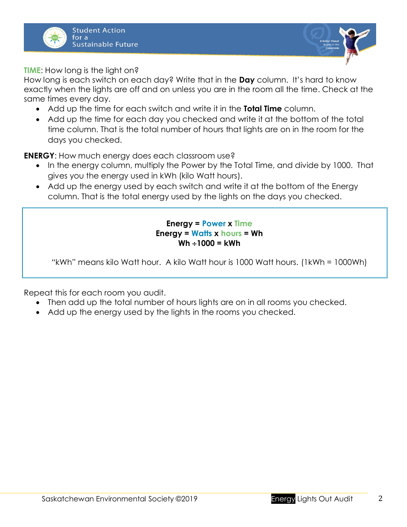



**TIME**: How long is the light on?

How long is each switch on each day? Write that in the **Day** column. It's hard to know exactly when the lights are off and on unless you are in the room all the time. Check at the same times every day.

- Add up the time for each switch and write it in the **Total Time** column.
- Add up the time for each day you checked and write it at the bottom of the total time column. That is the total number of hours that lights are on in the room for the days you checked.

**ENERGY:** How much energy does each classroom use?

- In the energy column, multiply the Power by the Total Time, and divide by 1000. That gives you the energy used in kWh (kilo Watt hours).
- Add up the energy used by each switch and write it at the bottom of the Energy column. That is the total energy used by the lights on the days you checked.

### **Energy = Power x Time Energy = Watts x hours = Wh**  $Wh \div 1000 = kWh$

"kWh" means kilo Watt hour. A kilo Watt hour is 1000 Watt hours. (1kWh = 1000Wh)

Repeat this for each room you audit.

- Then add up the total number of hours lights are on in all rooms you checked.
- Add up the energy used by the lights in the rooms you checked.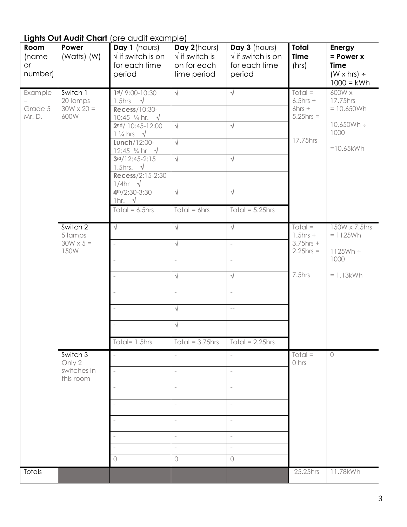# **Lights Out Audit Chart** (pre audit example)

| Room<br>(name<br>or<br>number) | Power<br>(Watts) (W)                              | Day 1 (hours)<br>$\sqrt{ }$ if switch is on<br>for each time<br>period                                                                                                                                                                                                                                                                                          | Day 2(hours)<br>$\sqrt{}$ if switch is<br>on for each<br>time period                                                           | Day 3 (hours)<br>$\sqrt{ }$ if switch is on<br>for each time<br>period                                                                                  | <b>Total</b><br><b>Time</b><br>(hrs)                               | Energy<br>$= Power X$<br><b>Time</b><br>$(W \times hrs)$ ÷<br>$1000 =$ kWh |
|--------------------------------|---------------------------------------------------|-----------------------------------------------------------------------------------------------------------------------------------------------------------------------------------------------------------------------------------------------------------------------------------------------------------------------------------------------------------------|--------------------------------------------------------------------------------------------------------------------------------|---------------------------------------------------------------------------------------------------------------------------------------------------------|--------------------------------------------------------------------|----------------------------------------------------------------------------|
| Example<br>Grade 5<br>Mr. D.   | Switch 1<br>20 lamps<br>$30W \times 20 =$<br>600W | $1st/$ 9:00-10:30<br>1.5hrs $\sqrt{ }$<br><b>Recess/10:30-</b><br>10:45 $\frac{1}{4}$ hr. $\sqrt{ }$<br>$2nd/10:45-12:00$<br>$1\frac{1}{4}$ hrs $\sqrt{ }$<br>Lunch/12:00-<br>12:45 $\frac{3}{4}$ hr $\sqrt{ }$<br>$3rd/12:45-2:15$<br>1.5hrs. $\sqrt{ }$<br>Recess/2:15-2:30<br>$1/4$ hr $\sqrt{ }$<br>$4th/2:30-3:30$<br>1hr. $\sqrt{ }$<br>Total = $6.5$ hrs | $\sqrt{}$<br>$\sqrt{ }$<br>$\sqrt{ }$<br>$\sqrt{ }$<br>$\sqrt{ }$<br>$Total = 6 hrs$                                           | $\sqrt{ }$<br>$\sqrt{}$<br>$\sqrt{}$<br>$\sqrt{}$<br>Total = $5.25$ hrs                                                                                 | $Total =$<br>$6.5$ hrs +<br>$6hrs +$<br>$5.25$ hrs =<br>17.75hrs   | 600W x<br>17.75hrs<br>$= 10,650Wh$<br>10,650Wh ÷<br>1000<br>$=10.65$ kWh   |
|                                | Switch 2<br>5 lamps<br>$30W \times 5 =$<br>150W   | $\sqrt{ }$<br>$\equiv$<br>J.<br>Total= $1.5$ hrs                                                                                                                                                                                                                                                                                                                | $\sqrt{ }$<br>$\sqrt{}$<br>$\equiv$<br>$\sqrt{ }$<br>$\overline{\phantom{a}}$<br>$\sqrt{}$<br>$\sqrt{ }$<br>Total = $3.75$ hrs | $\sqrt{}$<br>$\overline{\phantom{a}}$<br>$\overline{\phantom{a}}$<br>√<br>$\bar{a}$<br>$\qquad \qquad -$<br>$\overline{\text{Total}} = 2.25 \text{hrs}$ | $Total =$<br>$1.5$ hrs +<br>$3.75$ hrs +<br>$2.25$ hrs =<br>7.5hrs | 150W x 7.5hrs<br>$= 1125Wh$<br>$1125Wh \div$<br>1000<br>$= 1.13$ kWh       |
|                                | Switch 3<br>Only 2<br>switches in<br>this room    | $\omega$<br>$\sim$<br>$\sim$<br>$\sim$<br>$\bigcap$                                                                                                                                                                                                                                                                                                             | $\bar{a}$<br>$\overline{\phantom{a}}$<br>$\sim$<br>$\bar{a}$<br>$\bar{a}$<br>$\bar{a}$<br>$\bar{a}$<br>$\circ$                 | $\equiv$<br>$\bar{a}$<br>$\bar{a}$<br>$\overline{\phantom{a}}$<br>$\equiv$<br>$\overline{\phantom{a}}$<br>$\overline{\phantom{a}}$<br>$\bigcirc$        | $Total =$<br>0 hrs                                                 | $\circ$                                                                    |
| Totals                         |                                                   |                                                                                                                                                                                                                                                                                                                                                                 |                                                                                                                                |                                                                                                                                                         | 25.25hrs                                                           | 11.78kWh                                                                   |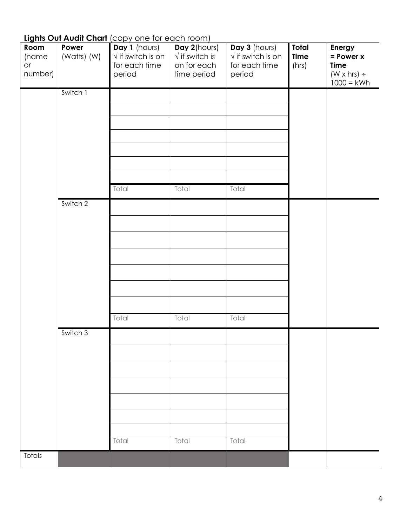# **Lights Out Audit Chart** (copy one for each room)

| Room<br>(name<br>or<br>number) | Power<br>(Watts) (W) | Day 1 (hours)<br>$\sqrt{}$ if switch is on<br>for each time<br>period | Day 2(hours)<br>$\sqrt{ }$ if switch is<br>on for each<br>time period | Day 3 (hours)<br>$\sqrt{ }$ if switch is on<br>for each time<br>period | Total<br><b>Time</b><br>(hrs) | Energy<br>$= Power x$<br><b>Time</b><br>$(W \times hrs)$ ÷<br>$1000 = kWh$ |
|--------------------------------|----------------------|-----------------------------------------------------------------------|-----------------------------------------------------------------------|------------------------------------------------------------------------|-------------------------------|----------------------------------------------------------------------------|
|                                | Switch 1             |                                                                       |                                                                       |                                                                        |                               |                                                                            |
|                                |                      |                                                                       |                                                                       |                                                                        |                               |                                                                            |
|                                |                      |                                                                       |                                                                       |                                                                        |                               |                                                                            |
|                                |                      |                                                                       |                                                                       |                                                                        |                               |                                                                            |
|                                |                      |                                                                       |                                                                       |                                                                        |                               |                                                                            |
|                                |                      |                                                                       |                                                                       |                                                                        |                               |                                                                            |
|                                |                      | Total                                                                 | Total                                                                 | Total                                                                  |                               |                                                                            |
|                                | Switch 2             |                                                                       |                                                                       |                                                                        |                               |                                                                            |
|                                |                      |                                                                       |                                                                       |                                                                        |                               |                                                                            |
|                                |                      |                                                                       |                                                                       |                                                                        |                               |                                                                            |
|                                |                      |                                                                       |                                                                       |                                                                        |                               |                                                                            |
|                                |                      |                                                                       |                                                                       |                                                                        |                               |                                                                            |
|                                |                      |                                                                       |                                                                       |                                                                        |                               |                                                                            |
|                                |                      |                                                                       |                                                                       |                                                                        |                               |                                                                            |
|                                |                      | Total                                                                 | Total                                                                 | Total                                                                  |                               |                                                                            |
|                                | Switch 3             |                                                                       |                                                                       |                                                                        |                               |                                                                            |
|                                |                      |                                                                       |                                                                       |                                                                        |                               |                                                                            |
|                                |                      |                                                                       |                                                                       |                                                                        |                               |                                                                            |
|                                |                      |                                                                       |                                                                       |                                                                        |                               |                                                                            |
|                                |                      |                                                                       |                                                                       |                                                                        |                               |                                                                            |
|                                |                      |                                                                       |                                                                       |                                                                        |                               |                                                                            |
|                                |                      |                                                                       |                                                                       |                                                                        |                               |                                                                            |
|                                |                      | Total                                                                 | Total                                                                 | Total                                                                  |                               |                                                                            |
| Totals                         |                      |                                                                       |                                                                       |                                                                        |                               |                                                                            |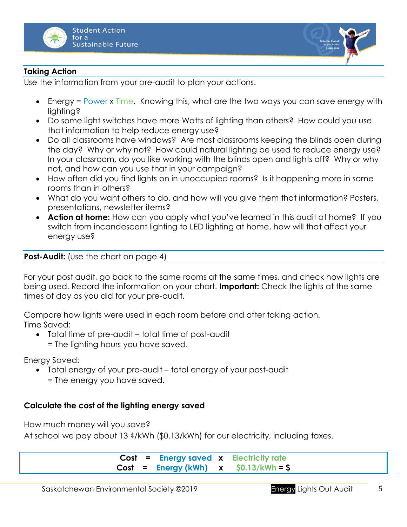



## **Taking Action**

Use the information from your pre-audit to plan your actions.

- Energy = Power x Time. Knowing this, what are the two ways you can save energy with lighting?
- Do some light switches have more Watts of lighting than others? How could you use that information to help reduce energy use?
- Do all classrooms have windows? Are most classrooms keeping the blinds open during the day? Why or why not? How could natural lighting be used to reduce energy use? In your classroom, do you like working with the blinds open and lights off? Why or why not, and how can you use that in your campaign?
- How often did you find lights on in unoccupied rooms? Is it happening more in some rooms than in others?
- What do you want others to do, and how will you give them that information? Posters, presentations, newsletter items?
- **Action at home:** How can you apply what you've learned in this audit at home? If you switch from incandescent lighting to LED lighting at home, how will that affect your energy use?

### **Post-Audit:** (use the chart on page 4)

For your post audit, go back to the same rooms at the same times, and check how lights are being used. Record the information on your chart. **Important:** Check the lights at the same times of day as you did for your pre-audit.

Compare how lights were used in each room before and after taking action. Time Saved:

• Total time of pre-audit – total time of post-audit = The lighting hours you have saved.

Energy Saved:

- Total energy of your pre-audit total energy of your post-audit
	- = The energy you have saved.

### **Calculate the cost of the lighting energy saved**

How much money will you save?

At school we pay about 13 ¢/kWh (\$0.13/kWh) for our electricity, including taxes.

**Cost = Energy saved x Electricity rate Cost = Energy (kWh) x \$0.13/kWh = \$**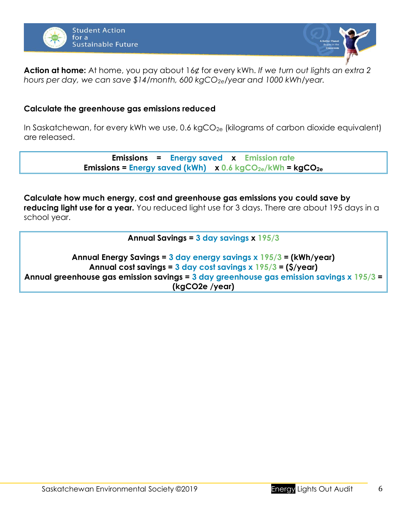



**Action at home:** At home, you pay about 16¢ for every kWh. *If we turn out lights an extra 2 hours per day, we can save \$14/month, 600 kgCO2e/year and 1000 kWh/year.*

### **Calculate the greenhouse gas emissions reduced**

In Saskatchewan, for every kWh we use, 0.6 kgCO<sub>2e</sub> (kilograms of carbon dioxide equivalent) are released.

> **Emissions = Energy saved x Emission rate Emissions = Energy saved (kWh) x 0.6 kgCO2e/kWh = kgCO2e**

#### **Calculate how much energy, cost and greenhouse gas emissions you could save by**

**reducing light use for a year.** You reduced light use for 3 days. There are about 195 days in a school year.

#### **Annual Savings = 3 day savings x 195/3**

**Annual Energy Savings = 3 day energy savings x 195/3 = (kWh/year) Annual cost savings = 3 day cost savings x 195/3 = (\$/year) Annual greenhouse gas emission savings = 3 day greenhouse gas emission savings x 195/3 = (kgCO2e /year)**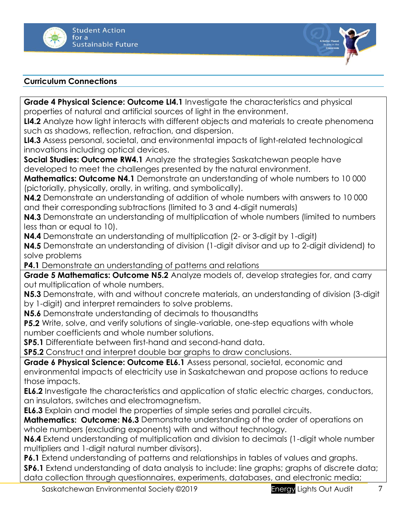



### **Curriculum Connections**

**Grade 4 Physical Science: Outcome LI4.1** Investigate the characteristics and physical properties of natural and artificial sources of light in the environment.

**LI4.2** Analyze how light interacts with different objects and materials to create phenomena such as shadows, reflection, refraction, and dispersion.

**LI4.3** Assess personal, societal, and environmental impacts of light-related technological innovations including optical devices.

**Social Studies: Outcome RW4.1** Analyze the strategies Saskatchewan people have developed to meet the challenges presented by the natural environment.

**Mathematics: Outcome N4.1** Demonstrate an understanding of whole numbers to 10 000 (pictorially, physically, orally, in writing, and symbolically).

**N4.2** Demonstrate an understanding of addition of whole numbers with answers to 10 000 and their corresponding subtractions (limited to 3 and 4-digit numerals)

**N4.3** Demonstrate an understanding of multiplication of whole numbers (limited to numbers less than or equal to 10).

**N4.4** Demonstrate an understanding of multiplication (2- or 3-digit by 1-digit)

**N4.5** Demonstrate an understanding of division (1-digit divisor and up to 2-digit dividend) to solve problems

**P4.1** Demonstrate an understanding of patterns and relations

**Grade 5 Mathematics: Outcome N5.2** Analyze models of, develop strategies for, and carry out multiplication of whole numbers.

**N5.3** Demonstrate, with and without concrete materials, an understanding of division (3-digit by 1-digit) and interpret remainders to solve problems.

**N5.6** Demonstrate understanding of decimals to thousandths

**P5.2** Write, solve, and verify solutions of single-variable, one-step equations with whole number coefficients and whole number solutions.

**SP5.1** Differentiate between first-hand and second-hand data.

**SP5.2** Construct and interpret double bar graphs to draw conclusions.

**Grade 6 Physical Science: Outcome EL6.1** Assess personal, societal, economic and environmental impacts of electricity use in Saskatchewan and propose actions to reduce those impacts.

**EL6.2** Investigate the characteristics and application of static electric charges, conductors, an insulators, switches and electromagnetism.

**EL6.3** Explain and model the properties of simple series and parallel circuits.

**Mathematics: Outcome: N6.3** Demonstrate understanding of the order of operations on whole numbers (excluding exponents) with and without technology.

**N6.4** Extend understanding of multiplication and division to decimals (1-digit whole number multipliers and 1-digit natural number divisors).

**P6.1** Extend understanding of patterns and relationships in tables of values and graphs.

**SP6.1** Extend understanding of data analysis to include: line graphs; graphs of discrete data; data collection through questionnaires, experiments, databases, and electronic media;